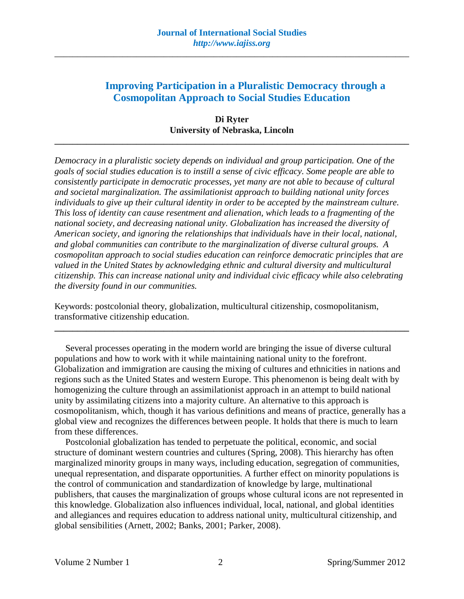# **Improving Participation in a Pluralistic Democracy through a Cosmopolitan Approach to Social Studies Education**

# **Di Ryter University of Nebraska, Lincoln**

**\_\_\_\_\_\_\_\_\_\_\_\_\_\_\_\_\_\_\_\_\_\_\_\_\_\_\_\_\_\_\_\_\_\_\_\_\_\_\_\_\_\_\_\_\_\_\_\_\_\_\_\_\_\_\_\_\_\_\_\_\_\_\_\_\_\_\_\_\_\_\_\_\_\_\_\_\_\_**

*Democracy in a pluralistic society depends on individual and group participation. One of the goals of social studies education is to instill a sense of civic efficacy. Some people are able to consistently participate in democratic processes, yet many are not able to because of cultural and societal marginalization. The assimilationist approach to building national unity forces individuals to give up their cultural identity in order to be accepted by the mainstream culture. This loss of identity can cause resentment and alienation, which leads to a fragmenting of the national society, and decreasing national unity. Globalization has increased the diversity of American society, and ignoring the relationships that individuals have in their local, national, and global communities can contribute to the marginalization of diverse cultural groups. A cosmopolitan approach to social studies education can reinforce democratic principles that are valued in the United States by acknowledging ethnic and cultural diversity and multicultural citizenship. This can increase national unity and individual civic efficacy while also celebrating the diversity found in our communities.* 

Keywords: postcolonial theory, globalization, multicultural citizenship, cosmopolitanism, transformative citizenship education.

Several processes operating in the modern world are bringing the issue of diverse cultural populations and how to work with it while maintaining national unity to the forefront. Globalization and immigration are causing the mixing of cultures and ethnicities in nations and regions such as the United States and western Europe. This phenomenon is being dealt with by homogenizing the culture through an assimilationist approach in an attempt to build national unity by assimilating citizens into a majority culture. An alternative to this approach is cosmopolitanism, which, though it has various definitions and means of practice, generally has a global view and recognizes the differences between people. It holds that there is much to learn from these differences.

**\_\_\_\_\_\_\_\_\_\_\_\_\_\_\_\_\_\_\_\_\_\_\_\_\_\_\_\_\_\_\_\_\_\_\_\_\_\_\_\_\_\_\_\_\_\_\_\_\_\_\_\_\_\_\_\_\_\_\_\_\_\_\_\_\_\_\_\_\_\_\_\_\_\_\_\_\_\_**

Postcolonial globalization has tended to perpetuate the political, economic, and social structure of dominant western countries and cultures (Spring, 2008). This hierarchy has often marginalized minority groups in many ways, including education, segregation of communities, unequal representation, and disparate opportunities. A further effect on minority populations is the control of communication and standardization of knowledge by large, multinational publishers, that causes the marginalization of groups whose cultural icons are not represented in this knowledge. Globalization also influences individual, local, national, and global identities and allegiances and requires education to address national unity, multicultural citizenship, and global sensibilities (Arnett, 2002; Banks, 2001; Parker, 2008).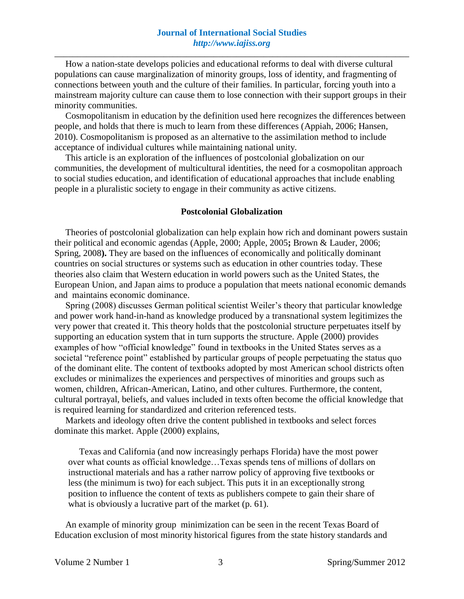How a nation-state develops policies and educational reforms to deal with diverse cultural populations can cause marginalization of minority groups, loss of identity, and fragmenting of connections between youth and the culture of their families. In particular, forcing youth into a mainstream majority culture can cause them to lose connection with their support groups in their minority communities.

Cosmopolitanism in education by the definition used here recognizes the differences between people, and holds that there is much to learn from these differences (Appiah, 2006; Hansen, 2010). Cosmopolitanism is proposed as an alternative to the assimilation method to include acceptance of individual cultures while maintaining national unity.

This article is an exploration of the influences of postcolonial globalization on our communities, the development of multicultural identities, the need for a cosmopolitan approach to social studies education, and identification of educational approaches that include enabling people in a pluralistic society to engage in their community as active citizens.

#### **Postcolonial Globalization**

Theories of postcolonial globalization can help explain how rich and dominant powers sustain their political and economic agendas (Apple, 2000; Apple, 2005**;** Brown & Lauder, 2006; Spring, 2008**).** They are based on the influences of economically and politically dominant countries on social structures or systems such as education in other countries today. These theories also claim that Western education in world powers such as the United States, the European Union, and Japan aims to produce a population that meets national economic demands and maintains economic dominance.

Spring (2008) discusses German political scientist Weiler's theory that particular knowledge and power work hand-in-hand as knowledge produced by a transnational system legitimizes the very power that created it. This theory holds that the postcolonial structure perpetuates itself by supporting an education system that in turn supports the structure. Apple (2000) provides examples of how "official knowledge" found in textbooks in the United States serves as a societal "reference point" established by particular groups of people perpetuating the status quo of the dominant elite. The content of textbooks adopted by most American school districts often excludes or minimalizes the experiences and perspectives of minorities and groups such as women, children, African-American, Latino, and other cultures. Furthermore, the content, cultural portrayal, beliefs, and values included in texts often become the official knowledge that is required learning for standardized and criterion referenced tests.

Markets and ideology often drive the content published in textbooks and select forces dominate this market. Apple (2000) explains,

Texas and California (and now increasingly perhaps Florida) have the most power over what counts as official knowledge…Texas spends tens of millions of dollars on instructional materials and has a rather narrow policy of approving five textbooks or less (the minimum is two) for each subject. This puts it in an exceptionally strong position to influence the content of texts as publishers compete to gain their share of what is obviously a lucrative part of the market (p. 61).

An example of minority group minimization can be seen in the recent Texas Board of Education exclusion of most minority historical figures from the state history standards and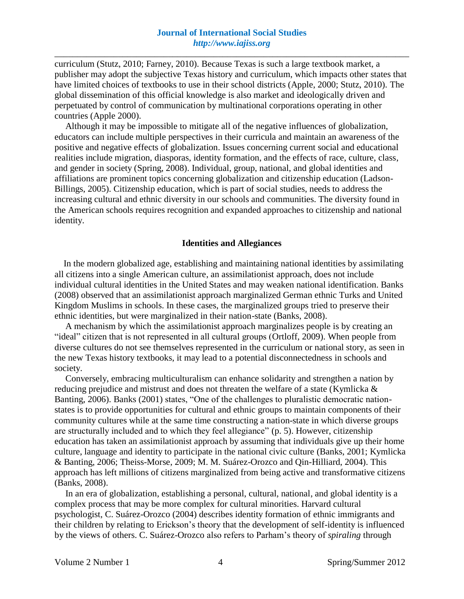curriculum (Stutz, 2010; Farney, 2010). Because Texas is such a large textbook market, a publisher may adopt the subjective Texas history and curriculum, which impacts other states that have limited choices of textbooks to use in their school districts (Apple, 2000; Stutz, 2010). The global dissemination of this official knowledge is also market and ideologically driven and perpetuated by control of communication by multinational corporations operating in other countries (Apple 2000).

Although it may be impossible to mitigate all of the negative influences of globalization, educators can include multiple perspectives in their curricula and maintain an awareness of the positive and negative effects of globalization. Issues concerning current social and educational realities include migration, diasporas, identity formation, and the effects of race, culture, class, and gender in society (Spring, 2008). Individual, group, national, and global identities and affiliations are prominent topics concerning globalization and citizenship education (Ladson-Billings, 2005). Citizenship education, which is part of social studies, needs to address the increasing cultural and ethnic diversity in our schools and communities. The diversity found in the American schools requires recognition and expanded approaches to citizenship and national identity.

## **Identities and Allegiances**

 In the modern globalized age, establishing and maintaining national identities by assimilating all citizens into a single American culture, an assimilationist approach, does not include individual cultural identities in the United States and may weaken national identification. Banks (2008) observed that an assimilationist approach marginalized German ethnic Turks and United Kingdom Muslims in schools. In these cases, the marginalized groups tried to preserve their ethnic identities, but were marginalized in their nation-state (Banks, 2008).

A mechanism by which the assimilationist approach marginalizes people is by creating an "ideal" citizen that is not represented in all cultural groups (Ortloff, 2009). When people from diverse cultures do not see themselves represented in the curriculum or national story, as seen in the new Texas history textbooks, it may lead to a potential disconnectedness in schools and society.

Conversely, embracing multiculturalism can enhance solidarity and strengthen a nation by reducing prejudice and mistrust and does not threaten the welfare of a state (Kymlicka & Banting, 2006). Banks (2001) states, "One of the challenges to pluralistic democratic nationstates is to provide opportunities for cultural and ethnic groups to maintain components of their community cultures while at the same time constructing a nation-state in which diverse groups are structurally included and to which they feel allegiance" (p. 5). However, citizenship education has taken an assimilationist approach by assuming that individuals give up their home culture, language and identity to participate in the national civic culture (Banks, 2001; Kymlicka & Banting, 2006; Theiss-Morse, 2009; M. M. Suárez-Orozco and Qin-Hilliard, 2004). This approach has left millions of citizens marginalized from being active and transformative citizens (Banks, 2008).

In an era of globalization, establishing a personal, cultural, national, and global identity is a complex process that may be more complex for cultural minorities. Harvard cultural psychologist, C. Suárez-Orozco (2004) describes identity formation of ethnic immigrants and their children by relating to Erickson's theory that the development of self-identity is influenced by the views of others. C. Suárez-Orozco also refers to Parham's theory of *spiraling* through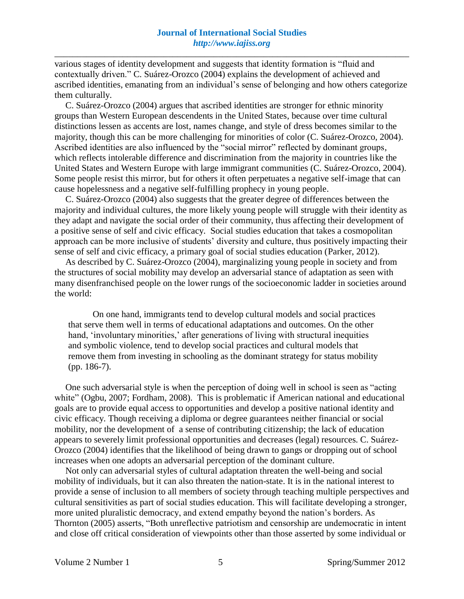various stages of identity development and suggests that identity formation is "fluid and contextually driven." C. Suárez-Orozco (2004) explains the development of achieved and ascribed identities, emanating from an individual's sense of belonging and how others categorize them culturally.

C. Suárez-Orozco (2004) argues that ascribed identities are stronger for ethnic minority groups than Western European descendents in the United States, because over time cultural distinctions lessen as accents are lost, names change, and style of dress becomes similar to the majority, though this can be more challenging for minorities of color (C. Suárez-Orozco, 2004). Ascribed identities are also influenced by the "social mirror" reflected by dominant groups, which reflects intolerable difference and discrimination from the majority in countries like the United States and Western Europe with large immigrant communities (C. Suárez-Orozco, 2004). Some people resist this mirror, but for others it often perpetuates a negative self-image that can cause hopelessness and a negative self-fulfilling prophecy in young people.

C. Suárez-Orozco (2004) also suggests that the greater degree of differences between the majority and individual cultures, the more likely young people will struggle with their identity as they adapt and navigate the social order of their community, thus affecting their development of a positive sense of self and civic efficacy. Social studies education that takes a cosmopolitan approach can be more inclusive of students' diversity and culture, thus positively impacting their sense of self and civic efficacy, a primary goal of social studies education (Parker, 2012).

As described by C. Suárez-Orozco (2004), marginalizing young people in society and from the structures of social mobility may develop an adversarial stance of adaptation as seen with many disenfranchised people on the lower rungs of the socioeconomic ladder in societies around the world:

On one hand, immigrants tend to develop cultural models and social practices that serve them well in terms of educational adaptations and outcomes. On the other hand, 'involuntary minorities,' after generations of living with structural inequities and symbolic violence, tend to develop social practices and cultural models that remove them from investing in schooling as the dominant strategy for status mobility (pp. 186-7).

One such adversarial style is when the perception of doing well in school is seen as "acting white" (Ogbu, 2007; Fordham, 2008). This is problematic if American national and educational goals are to provide equal access to opportunities and develop a positive national identity and civic efficacy. Though receiving a diploma or degree guarantees neither financial or social mobility, nor the development of a sense of contributing citizenship; the lack of education appears to severely limit professional opportunities and decreases (legal) resources. C. Suárez-Orozco (2004) identifies that the likelihood of being drawn to gangs or dropping out of school increases when one adopts an adversarial perception of the dominant culture.

Not only can adversarial styles of cultural adaptation threaten the well-being and social mobility of individuals, but it can also threaten the nation-state. It is in the national interest to provide a sense of inclusion to all members of society through teaching multiple perspectives and cultural sensitivities as part of social studies education. This will facilitate developing a stronger, more united pluralistic democracy, and extend empathy beyond the nation's borders. As Thornton (2005) asserts, "Both unreflective patriotism and censorship are undemocratic in intent and close off critical consideration of viewpoints other than those asserted by some individual or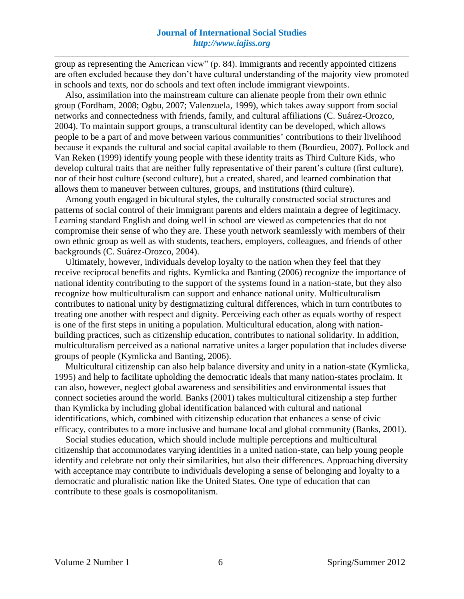group as representing the American view" (p. 84). Immigrants and recently appointed citizens are often excluded because they don't have cultural understanding of the majority view promoted in schools and texts, nor do schools and text often include immigrant viewpoints.

Also, assimilation into the mainstream culture can alienate people from their own ethnic group (Fordham, 2008; Ogbu, 2007; Valenzuela, 1999), which takes away support from social networks and connectedness with friends, family, and cultural affiliations (C. Suárez-Orozco, 2004). To maintain support groups, a transcultural identity can be developed, which allows people to be a part of and move between various communities' contributions to their livelihood because it expands the cultural and social capital available to them (Bourdieu, 2007). Pollock and Van Reken (1999) identify young people with these identity traits as Third Culture Kids, who develop cultural traits that are neither fully representative of their parent's culture (first culture), nor of their host culture (second culture), but a created, shared, and learned combination that allows them to maneuver between cultures, groups, and institutions (third culture).

Among youth engaged in bicultural styles, the culturally constructed social structures and patterns of social control of their immigrant parents and elders maintain a degree of legitimacy. Learning standard English and doing well in school are viewed as competencies that do not compromise their sense of who they are. These youth network seamlessly with members of their own ethnic group as well as with students, teachers, employers, colleagues, and friends of other backgrounds (C. Suárez-Orozco, 2004).

Ultimately, however, individuals develop loyalty to the nation when they feel that they receive reciprocal benefits and rights. Kymlicka and Banting (2006) recognize the importance of national identity contributing to the support of the systems found in a nation-state, but they also recognize how multiculturalism can support and enhance national unity. Multiculturalism contributes to national unity by destigmatizing cultural differences, which in turn contributes to treating one another with respect and dignity. Perceiving each other as equals worthy of respect is one of the first steps in uniting a population. Multicultural education, along with nationbuilding practices, such as citizenship education, contributes to national solidarity. In addition, multiculturalism perceived as a national narrative unites a larger population that includes diverse groups of people (Kymlicka and Banting, 2006).

Multicultural citizenship can also help balance diversity and unity in a nation-state (Kymlicka, 1995) and help to facilitate upholding the democratic ideals that many nation-states proclaim. It can also, however, neglect global awareness and sensibilities and environmental issues that connect societies around the world. Banks (2001) takes multicultural citizenship a step further than Kymlicka by including global identification balanced with cultural and national identifications, which, combined with citizenship education that enhances a sense of civic efficacy, contributes to a more inclusive and humane local and global community (Banks, 2001).

Social studies education, which should include multiple perceptions and multicultural citizenship that accommodates varying identities in a united nation-state, can help young people identify and celebrate not only their similarities, but also their differences. Approaching diversity with acceptance may contribute to individuals developing a sense of belonging and loyalty to a democratic and pluralistic nation like the United States. One type of education that can contribute to these goals is cosmopolitanism.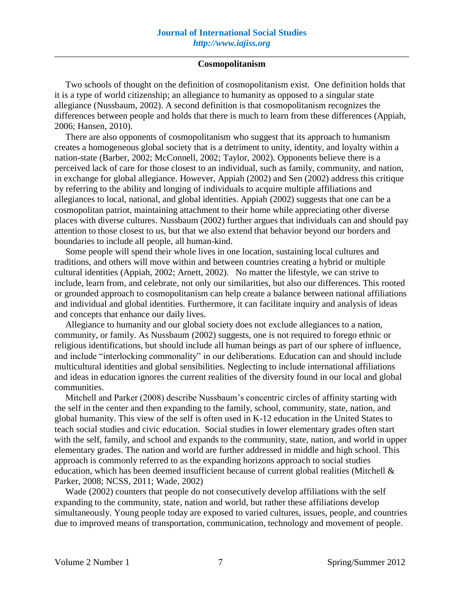Two schools of thought on the definition of cosmopolitanism exist. One definition holds that it is a type of world citizenship; an allegiance to humanity as opposed to a singular state allegiance (Nussbaum, 2002). A second definition is that cosmopolitanism recognizes the differences between people and holds that there is much to learn from these differences (Appiah, 2006; Hansen, 2010).

There are also opponents of cosmopolitanism who suggest that its approach to humanism creates a homogeneous global society that is a detriment to unity, identity, and loyalty within a nation-state (Barber, 2002; McConnell, 2002; Taylor, 2002). Opponents believe there is a perceived lack of care for those closest to an individual, such as family, community, and nation, in exchange for global allegiance. However, Appiah (2002) and Sen (2002) address this critique by referring to the ability and longing of individuals to acquire multiple affiliations and allegiances to local, national, and global identities. Appiah (2002) suggests that one can be a cosmopolitan patriot, maintaining attachment to their home while appreciating other diverse places with diverse cultures. Nussbaum (2002) further argues that individuals can and should pay attention to those closest to us, but that we also extend that behavior beyond our borders and boundaries to include all people, all human-kind.

Some people will spend their whole lives in one location, sustaining local cultures and traditions, and others will move within and between countries creating a hybrid or multiple cultural identities (Appiah, 2002; Arnett, 2002). No matter the lifestyle, we can strive to include, learn from, and celebrate, not only our similarities, but also our differences. This rooted or grounded approach to cosmopolitanism can help create a balance between national affiliations and individual and global identities. Furthermore, it can facilitate inquiry and analysis of ideas and concepts that enhance our daily lives.

Allegiance to humanity and our global society does not exclude allegiances to a nation, community, or family. As Nussbaum (2002) suggests, one is not required to forego ethnic or religious identifications, but should include all human beings as part of our sphere of influence, and include "interlocking commonality" in our deliberations. Education can and should include multicultural identities and global sensibilities. Neglecting to include international affiliations and ideas in education ignores the current realities of the diversity found in our local and global communities.

Mitchell and Parker (2008) describe Nussbaum's concentric circles of affinity starting with the self in the center and then expanding to the family, school, community, state, nation, and global humanity. This view of the self is often used in K-12 education in the United States to teach social studies and civic education. Social studies in lower elementary grades often start with the self, family, and school and expands to the community, state, nation, and world in upper elementary grades. The nation and world are further addressed in middle and high school. This approach is commonly referred to as the expanding horizons approach to social studies education, which has been deemed insufficient because of current global realities (Mitchell & Parker, 2008; NCSS, 2011; Wade, 2002)

Wade (2002) counters that people do not consecutively develop affiliations with the self expanding to the community, state, nation and world, but rather these affiliations develop simultaneously. Young people today are exposed to varied cultures, issues, people, and countries due to improved means of transportation, communication, technology and movement of people.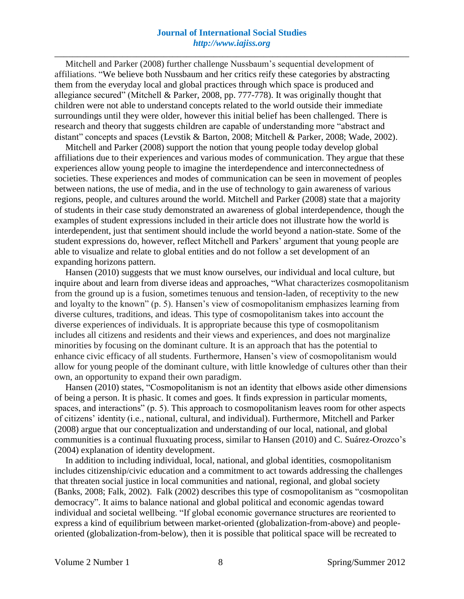# **Journal of International Social Studies**  *http://www.iajiss.org*

\_\_\_\_\_\_\_\_\_\_\_\_\_\_\_\_\_\_\_\_\_\_\_\_\_\_\_\_\_\_\_\_\_\_\_\_\_\_\_\_\_\_\_\_\_\_\_\_\_\_\_\_\_\_\_\_\_\_\_\_\_\_\_\_\_\_\_\_\_\_\_\_\_\_\_\_\_\_

Mitchell and Parker (2008) further challenge Nussbaum's sequential development of affiliations. "We believe both Nussbaum and her critics reify these categories by abstracting them from the everyday local and global practices through which space is produced and allegiance secured" (Mitchell & Parker, 2008, pp. 777-778). It was originally thought that children were not able to understand concepts related to the world outside their immediate surroundings until they were older, however this initial belief has been challenged. There is research and theory that suggests children are capable of understanding more "abstract and distant" concepts and spaces (Levstik & Barton, 2008; Mitchell & Parker, 2008; Wade, 2002).

Mitchell and Parker (2008) support the notion that young people today develop global affiliations due to their experiences and various modes of communication. They argue that these experiences allow young people to imagine the interdependence and interconnectedness of societies. These experiences and modes of communication can be seen in movement of peoples between nations, the use of media, and in the use of technology to gain awareness of various regions, people, and cultures around the world. Mitchell and Parker (2008) state that a majority of students in their case study demonstrated an awareness of global interdependence, though the examples of student expressions included in their article does not illustrate how the world is interdependent, just that sentiment should include the world beyond a nation-state. Some of the student expressions do, however, reflect Mitchell and Parkers' argument that young people are able to visualize and relate to global entities and do not follow a set development of an expanding horizons pattern.

Hansen (2010) suggests that we must know ourselves, our individual and local culture, but inquire about and learn from diverse ideas and approaches, "What characterizes cosmopolitanism from the ground up is a fusion, sometimes tenuous and tension-laden, of receptivity to the new and loyalty to the known" (p. 5). Hansen's view of cosmopolitanism emphasizes learning from diverse cultures, traditions, and ideas. This type of cosmopolitanism takes into account the diverse experiences of individuals. It is appropriate because this type of cosmopolitanism includes all citizens and residents and their views and experiences, and does not marginalize minorities by focusing on the dominant culture. It is an approach that has the potential to enhance civic efficacy of all students. Furthermore, Hansen's view of cosmopolitanism would allow for young people of the dominant culture, with little knowledge of cultures other than their own, an opportunity to expand their own paradigm.

Hansen (2010) states, "Cosmopolitanism is not an identity that elbows aside other dimensions of being a person. It is phasic. It comes and goes. It finds expression in particular moments, spaces, and interactions" (p. 5). This approach to cosmopolitanism leaves room for other aspects of citizens' identity (i.e., national, cultural, and individual). Furthermore, Mitchell and Parker (2008) argue that our conceptualization and understanding of our local, national, and global communities is a continual fluxuating process, similar to Hansen (2010) and C. Suárez-Orozco's (2004) explanation of identity development.

In addition to including individual, local, national, and global identities, cosmopolitanism includes citizenship/civic education and a commitment to act towards addressing the challenges that threaten social justice in local communities and national, regional, and global society (Banks, 2008; Falk, 2002). Falk (2002) describes this type of cosmopolitanism as "cosmopolitan democracy". It aims to balance national and global political and economic agendas toward individual and societal wellbeing. "If global economic governance structures are reoriented to express a kind of equilibrium between market-oriented (globalization-from-above) and peopleoriented (globalization-from-below), then it is possible that political space will be recreated to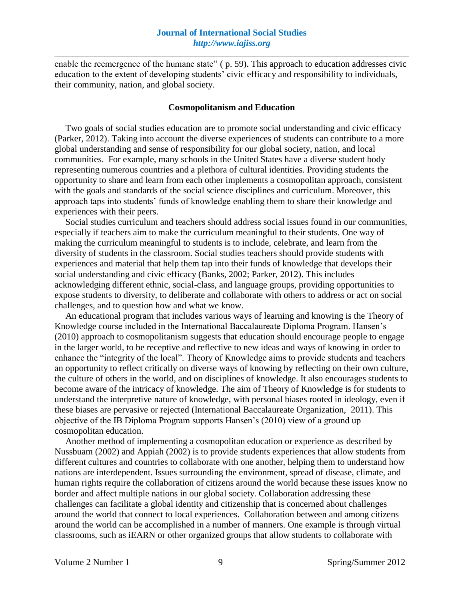enable the reemergence of the humane state" (p. 59). This approach to education addresses civic education to the extent of developing students' civic efficacy and responsibility to individuals, their community, nation, and global society.

#### **Cosmopolitanism and Education**

Two goals of social studies education are to promote social understanding and civic efficacy (Parker, 2012). Taking into account the diverse experiences of students can contribute to a more global understanding and sense of responsibility for our global society, nation, and local communities. For example, many schools in the United States have a diverse student body representing numerous countries and a plethora of cultural identities. Providing students the opportunity to share and learn from each other implements a cosmopolitan approach, consistent with the goals and standards of the social science disciplines and curriculum. Moreover, this approach taps into students' funds of knowledge enabling them to share their knowledge and experiences with their peers.

Social studies curriculum and teachers should address social issues found in our communities, especially if teachers aim to make the curriculum meaningful to their students. One way of making the curriculum meaningful to students is to include, celebrate, and learn from the diversity of students in the classroom. Social studies teachers should provide students with experiences and material that help them tap into their funds of knowledge that develops their social understanding and civic efficacy (Banks, 2002; Parker, 2012). This includes acknowledging different ethnic, social-class, and language groups, providing opportunities to expose students to diversity, to deliberate and collaborate with others to address or act on social challenges, and to question how and what we know.

An educational program that includes various ways of learning and knowing is the Theory of Knowledge course included in the International Baccalaureate Diploma Program. Hansen's (2010) approach to cosmopolitanism suggests that education should encourage people to engage in the larger world, to be receptive and reflective to new ideas and ways of knowing in order to enhance the "integrity of the local". Theory of Knowledge aims to provide students and teachers an opportunity to reflect critically on diverse ways of knowing by reflecting on their own culture, the culture of others in the world, and on disciplines of knowledge. It also encourages students to become aware of the intricacy of knowledge. The aim of Theory of Knowledge is for students to understand the interpretive nature of knowledge, with personal biases rooted in ideology, even if these biases are pervasive or rejected (International Baccalaureate Organization, 2011). This objective of the IB Diploma Program supports Hansen's (2010) view of a ground up cosmopolitan education.

Another method of implementing a cosmopolitan education or experience as described by Nussbuam (2002) and Appiah (2002) is to provide students experiences that allow students from different cultures and countries to collaborate with one another, helping them to understand how nations are interdependent. Issues surrounding the environment, spread of disease, climate, and human rights require the collaboration of citizens around the world because these issues know no border and affect multiple nations in our global society. Collaboration addressing these challenges can facilitate a global identity and citizenship that is concerned about challenges around the world that connect to local experiences. Collaboration between and among citizens around the world can be accomplished in a number of manners. One example is through virtual classrooms, such as iEARN or other organized groups that allow students to collaborate with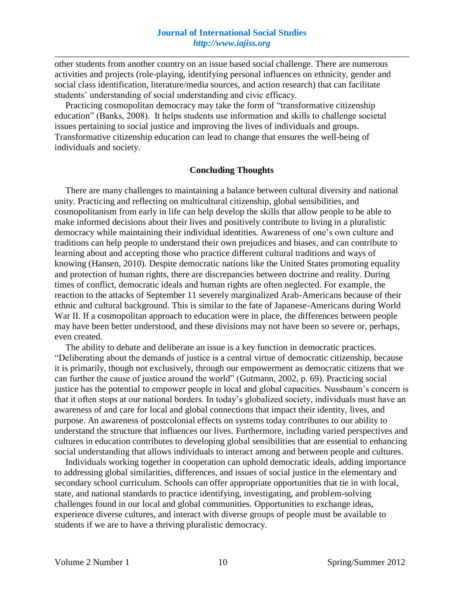other students from another country on an issue based social challenge. There are numerous activities and projects (role-playing, identifying personal influences on ethnicity, gender and social class identification, literature/media sources, and action research) that can facilitate students' understanding of social understanding and civic efficacy.

Practicing cosmopolitan democracy may take the form of "transformative citizenship education" (Banks, 2008). It helps students use information and skills to challenge societal issues pertaining to social justice and improving the lives of individuals and groups. Transformative citizenship education can lead to change that ensures the well-being of individuals and society.

## **Concluding Thoughts**

There are many challenges to maintaining a balance between cultural diversity and national unity. Practicing and reflecting on multicultural citizenship, global sensibilities, and cosmopolitanism from early in life can help develop the skills that allow people to be able to make informed decisions about their lives and positively contribute to living in a pluralistic democracy while maintaining their individual identities. Awareness of one's own culture and traditions can help people to understand their own prejudices and biases, and can contribute to learning about and accepting those who practice different cultural traditions and ways of knowing (Hansen, 2010). Despite democratic nations like the United States promoting equality and protection of human rights, there are discrepancies between doctrine and reality. During times of conflict, democratic ideals and human rights are often neglected. For example, the reaction to the attacks of September 11 severely marginalized Arab-Americans because of their ethnic and cultural background. This is similar to the fate of Japanese-Americans during World War II. If a cosmopolitan approach to education were in place, the differences between people may have been better understood, and these divisions may not have been so severe or, perhaps, even created.

The ability to debate and deliberate an issue is a key function in democratic practices. "Deliberating about the demands of justice is a central virtue of democratic citizenship, because it is primarily, though not exclusively, through our empowerment as democratic citizens that we can further the cause of justice around the world" (Gutmann, 2002, p. 69). Practicing social justice has the potential to empower people in local and global capacities. Nussbaum's concern is that it often stops at our national borders. In today's globalized society, individuals must have an awareness of and care for local and global connections that impact their identity, lives, and purpose. An awareness of postcolonial effects on systems today contributes to our ability to understand the structure that influences our lives. Furthermore, including varied perspectives and cultures in education contributes to developing global sensibilities that are essential to enhancing social understanding that allows individuals to interact among and between people and cultures.

Individuals working together in cooperation can uphold democratic ideals, adding importance to addressing global similarities, differences, and issues of social justice in the elementary and secondary school curriculum. Schools can offer appropriate opportunities that tie in with local, state, and national standards to practice identifying, investigating, and problem-solving challenges found in our local and global communities. Opportunities to exchange ideas, experience diverse cultures, and interact with diverse groups of people must be available to students if we are to have a thriving pluralistic democracy.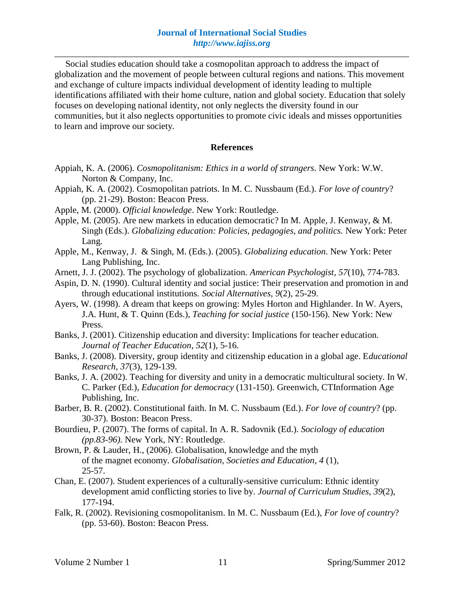Social studies education should take a cosmopolitan approach to address the impact of globalization and the movement of people between cultural regions and nations. This movement and exchange of culture impacts individual development of identity leading to multiple identifications affiliated with their home culture, nation and global society. Education that solely focuses on developing national identity, not only neglects the diversity found in our communities, but it also neglects opportunities to promote civic ideals and misses opportunities to learn and improve our society.

### **References**

- Appiah, K. A. (2006). *Cosmopolitanism: Ethics in a world of strangers*. New York: W.W. Norton & Company, Inc.
- Appiah, K. A. (2002). Cosmopolitan patriots. In M. C. Nussbaum (Ed.). *For love of country*? (pp. 21-29). Boston: Beacon Press.
- Apple, M. (2000). *Official knowledge*. New York: Routledge.
- Apple, M. (2005). Are new markets in education democratic? In M. Apple, J. Kenway, & M. Singh (Eds.). *Globalizing education: Policies, pedagogies, and politics.* New York: Peter Lang.
- Apple, M., Kenway, J. & Singh, M. (Eds.). (2005). *Globalizing education*. New York: Peter Lang Publishing, Inc.
- Arnett, J. J. (2002). The psychology of globalization. *American Psychologist, 57*(10), 774-783.
- Aspin, D. N. (1990). Cultural identity and social justice: Their preservation and promotion in and through educational institutions. *Social Alternatives, 9*(2), 25-29.
- Ayers, W. (1998). A dream that keeps on growing: Myles Horton and Highlander. In W. Ayers, J.A. Hunt, & T. Quinn (Eds.), *Teaching for social justice* (150-156)*.* New York: New Press.
- Banks, J. (2001). Citizenship education and diversity: Implications for teacher education. *Journal of Teacher Education*, *52*(1), 5-16.
- Banks, J. (2008). Diversity, group identity and citizenship education in a global age. E*ducational Research*, *37*(3), 129-139.
- Banks, J. A. (2002). Teaching for diversity and unity in a democratic multicultural society. In W. C. Parker (Ed.), *Education for democracy* (131-150). Greenwich, CTInformation Age Publishing, Inc.
- Barber, B. R. (2002). Constitutional faith. In M. C. Nussbaum (Ed.). *For love of country*? (pp. 30-37). Boston: Beacon Press.
- Bourdieu, P. (2007). The forms of capital. In A. R. Sadovnik (Ed.). *Sociology of education (pp.83-96).* New York, NY: Routledge.
- Brown, P. & Lauder, H., (2006). Globalisation, knowledge and the myth of the magnet economy. *Globalisation, Societies and Education*, *4* (1), 25-57.
- Chan, E. (2007). Student experiences of a culturally-sensitive curriculum: Ethnic identity development amid conflicting stories to live by. *Journal of Curriculum Studies, 39*(2), 177-194.
- Falk, R. (2002). Revisioning cosmopolitanism. In M. C. Nussbaum (Ed.), *For love of country*? (pp. 53-60). Boston: Beacon Press.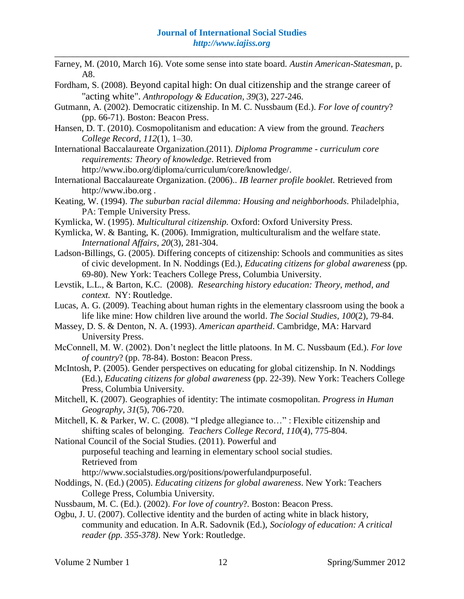- Farney, M. (2010, March 16). Vote some sense into state board. *Austin American-Statesman*, p. A8.
- Fordham, S. (2008). [Beyond capital high: On dual citizenship and the strange career of](http://0-www.jstor.org.library.unl.edu/stable/25166666?&Search=yes&searchText=fordham&searchText=signithia&list=hide&searchUri=%2Faction%2FdoAdvancedSearch%3Fq0%3Dsignithia%2Bfordham%26f0%3Dau%26c1%3DAND%26q1%3D%26f1%3Dall%26acc%3Don%26wc%3Don%26Search%3DSearch%26sd%3D%26ed%3D%26la%3D%26jo%3D&prevSearch=&item=4&ttl=11&returnArticleService=showFullText)  ["acting white".](http://0-www.jstor.org.library.unl.edu/stable/25166666?&Search=yes&searchText=fordham&searchText=signithia&list=hide&searchUri=%2Faction%2FdoAdvancedSearch%3Fq0%3Dsignithia%2Bfordham%26f0%3Dau%26c1%3DAND%26q1%3D%26f1%3Dall%26acc%3Don%26wc%3Don%26Search%3DSearch%26sd%3D%26ed%3D%26la%3D%26jo%3D&prevSearch=&item=4&ttl=11&returnArticleService=showFullText) *Anthropology & Education, 39*(3), 227-246.
- Gutmann, A. (2002). Democratic citizenship. In M. C. Nussbaum (Ed.). *For love of country*? (pp. 66-71). Boston: Beacon Press.
- Hansen, D. T. (2010). Cosmopolitanism and education: A view from the ground. *Teachers College Record*, *112*(1), 1–30.
- International Baccalaureate Organization.(2011). *Diploma Programme - curriculum core requirements: Theory of knowledge*. Retrieved from

[http://www.ibo.org/diploma/curriculum/core/knowledge/.](http://www.ibo.org/diploma/curriculum/core/knowledge/)

- International Baccalaureate Organization. (2006).. *IB learner profile booklet.* Retrieved from http://www.ibo.org .
- Keating, W. (1994). *The suburban racial dilemma: Housing and neighborhoods*. Philadelphia, PA: Temple University Press.
- Kymlicka, W. (1995). *Multicultural citizenship.* Oxford: Oxford University Press.
- Kymlicka, W. & Banting, K. (2006). Immigration, multiculturalism and the welfare state. *International Affairs*, *20*(3), 281-304.
- Ladson-Billings, G. (2005). Differing concepts of citizenship: Schools and communities as sites of civic development. In N. Noddings (Ed.), *Educating citizens for global awareness* (pp*.*  69-80). New York: Teachers College Press, Columbia University.
- Levstik, L.L., & Barton, K.C. (2008). *Researching history education: Theory, method, and context.* NY: Routledge.
- Lucas, A. G. (2009). Teaching about human rights in the elementary classroom using the book a life like mine: How children live around the world. *The Social Studies*, *100*(2), 79-84.
- Massey, D. S. & Denton, N. A. (1993). *American apartheid*. Cambridge, MA: Harvard University Press.
- McConnell, M. W. (2002). Don't neglect the little platoons. In M. C. Nussbaum (Ed.). *For love of country*? (pp. 78-84). Boston: Beacon Press.
- McIntosh, P. (2005). Gender perspectives on educating for global citizenship. In N. Noddings (Ed.), *Educating citizens for global awareness* (pp. 22-39). New York: Teachers College Press, Columbia University.
- Mitchell, K. (2007). Geographies of identity: The intimate cosmopolitan. *Progress in Human Geography*, *31*(5), 706-720.
- Mitchell, K. & Parker, W. C. (2008). "I pledge allegiance to…" : Flexible citizenship and shifting scales of belonging. *Teachers College Record*, *110*(4), 775-804.
- National Council of the Social Studies. (2011). Powerful and purposeful teaching and learning in elementary school social studies.

Retrieved from

[http://www.socialstudies.org/positions/powerfulandpurposeful.](http://www.socialstudies.org/positions/powerfulandpurposeful)

- Noddings, N. (Ed.) (2005). *Educating citizens for global awareness*. New York: Teachers College Press, Columbia University.
- Nussbaum, M. C. (Ed.). (2002). *For love of country*?. Boston: Beacon Press.
- Ogbu, J. U. (2007). Collective identity and the burden of acting white in black history, community and education. In A.R. Sadovnik (Ed.), *Sociology of education: A critical reader (pp. 355-378)*. New York: Routledge.